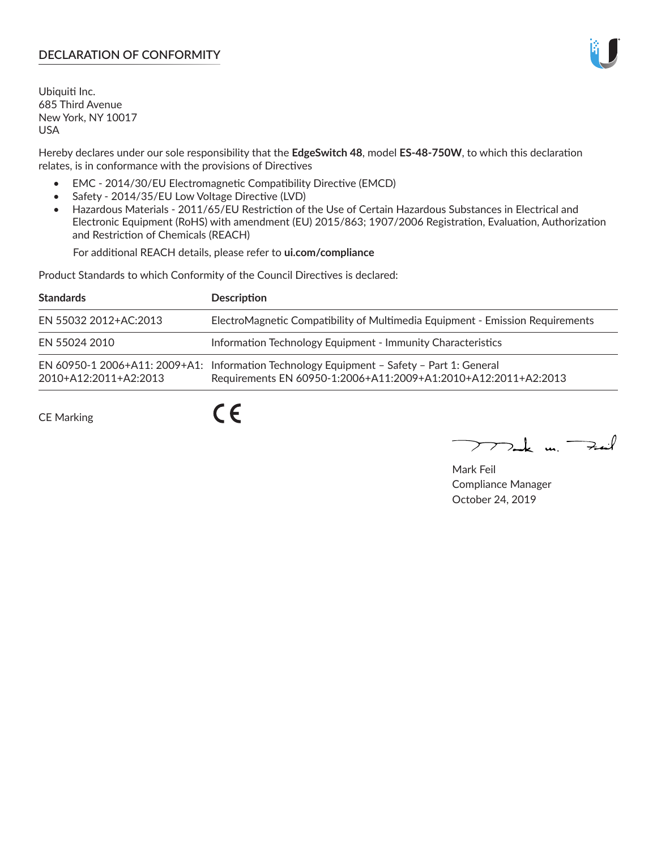# **DECLARATION OF CONFORMITY**

Ubiquiti Inc. 685 Third Avenue New York, NY 10017 USA

Hereby declares under our sole responsibility that the **EdgeSwitch 48**, model **ES-48-750W**, to which this declaration relates, is in conformance with the provisions of Directives

- EMC 2014/30/EU Electromagnetic Compatibility Directive (EMCD)
- Safety 2014/35/EU Low Voltage Directive (LVD)
- Hazardous Materials 2011/65/EU Restriction of the Use of Certain Hazardous Substances in Electrical and Electronic Equipment (RoHS) with amendment (EU) 2015/863; 1907/2006 Registration, Evaluation, Authorization and Restriction of Chemicals (REACH)

For additional REACH details, please refer to **ui.com/compliance**

Product Standards to which Conformity of the Council Directives is declared:

| <b>Standards</b>      | <b>Description</b>                                                                                                                                          |
|-----------------------|-------------------------------------------------------------------------------------------------------------------------------------------------------------|
| EN 55032 2012+AC:2013 | ElectroMagnetic Compatibility of Multimedia Equipment - Emission Requirements                                                                               |
| EN 55024 2010         | Information Technology Equipment - Immunity Characteristics                                                                                                 |
| 2010+A12:2011+A2:2013 | EN 60950-1 2006+A11: 2009+A1: Information Technology Equipment - Safety - Part 1: General<br>Requirements EN 60950-1:2006+A11:2009+A1:2010+A12:2011+A2:2013 |
| CE Marking            |                                                                                                                                                             |

CE Marking

Mak m. Fail

Mark Feil Compliance Manager October 24, 2019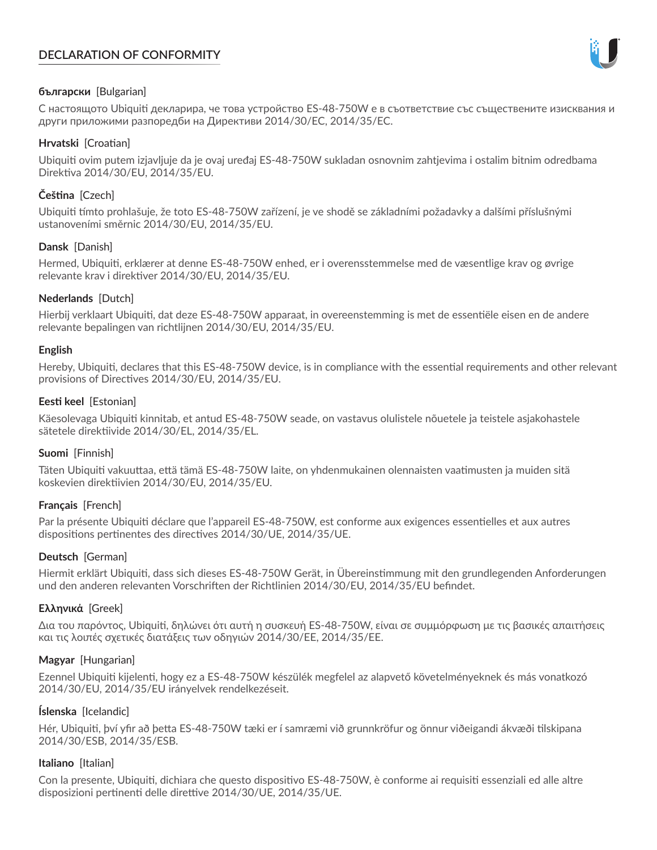# **DECLARATION OF CONFORMITY**



## **български** [Bulgarian]

С настоящото Ubiquiti декларира, че това устройство ES-48-750W е в съответствие със съществените изисквания и други приложими разпоредби на Директиви 2014/30/ЕС, 2014/35/ЕС.

## **Hrvatski** [Croatian]

Ubiquiti ovim putem izjavljuje da je ovaj uređaj ES-48-750W sukladan osnovnim zahtjevima i ostalim bitnim odredbama Direktiva 2014/30/EU, 2014/35/EU.

# **Čeština** [Czech]

Ubiquiti tímto prohlašuje, že toto ES-48-750W zařízení, je ve shodě se základními požadavky a dalšími příslušnými ustanoveními směrnic 2014/30/EU, 2014/35/EU.

## **Dansk** [Danish]

Hermed, Ubiquiti, erklærer at denne ES-48-750W enhed, er i overensstemmelse med de væsentlige krav og øvrige relevante krav i direktiver 2014/30/EU, 2014/35/EU.

## **Nederlands** [Dutch]

Hierbij verklaart Ubiquiti, dat deze ES-48-750W apparaat, in overeenstemming is met de essentiële eisen en de andere relevante bepalingen van richtlijnen 2014/30/EU, 2014/35/EU.

### **English**

Hereby, Ubiquiti, declares that this ES-48-750W device, is in compliance with the essential requirements and other relevant provisions of Directives 2014/30/EU, 2014/35/EU.

### **Eesti keel** [Estonian]

Käesolevaga Ubiquiti kinnitab, et antud ES-48-750W seade, on vastavus olulistele nõuetele ja teistele asjakohastele sätetele direktiivide 2014/30/EL, 2014/35/EL.

### **Suomi** [Finnish]

Täten Ubiquiti vakuuttaa, että tämä ES-48-750W laite, on yhdenmukainen olennaisten vaatimusten ja muiden sitä koskevien direktiivien 2014/30/EU, 2014/35/EU.

### **Français** [French]

Par la présente Ubiquiti déclare que l'appareil ES-48-750W, est conforme aux exigences essentielles et aux autres dispositions pertinentes des directives 2014/30/UE, 2014/35/UE.

### **Deutsch** [German]

Hiermit erklärt Ubiquiti, dass sich dieses ES-48-750W Gerät, in Übereinstimmung mit den grundlegenden Anforderungen und den anderen relevanten Vorschriften der Richtlinien 2014/30/EU, 2014/35/EU befindet.

### **Ελληνικά** [Greek]

Δια του παρόντος, Ubiquiti, δηλώνει ότι αυτή η συσκευή ES-48-750W, είναι σε συμμόρφωση με τις βασικές απαιτήσεις και τις λοιπές σχετικές διατάξεις των οδηγιών 2014/30/EE, 2014/35/EE.

### **Magyar** [Hungarian]

Ezennel Ubiquiti kijelenti, hogy ez a ES-48-750W készülék megfelel az alapvető követelményeknek és más vonatkozó 2014/30/EU, 2014/35/EU irányelvek rendelkezéseit.

### **Íslenska** [Icelandic]

Hér, Ubiquiti, því yfir að þetta ES-48-750W tæki er í samræmi við grunnkröfur og önnur viðeigandi ákvæði tilskipana 2014/30/ESB, 2014/35/ESB.

### **Italiano** [Italian]

Con la presente, Ubiquiti, dichiara che questo dispositivo ES-48-750W, è conforme ai requisiti essenziali ed alle altre disposizioni pertinenti delle direttive 2014/30/UE, 2014/35/UE.